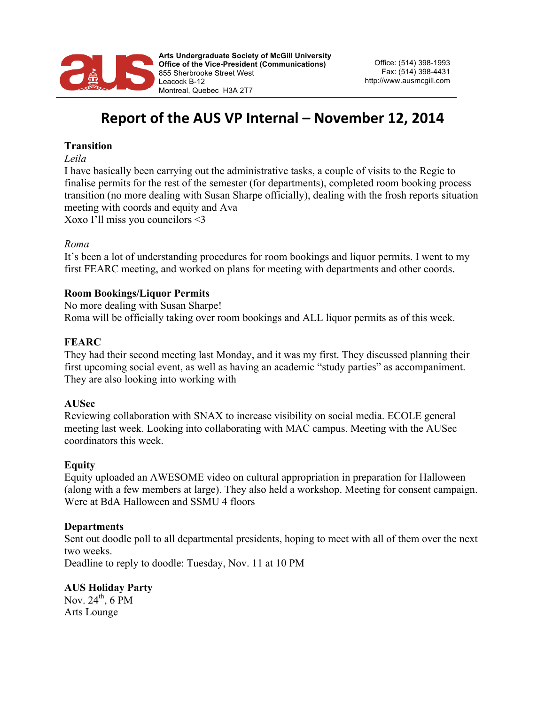

# **Report of the AUS VP Internal – November 12, 2014**

# **Transition**

*Leila*

I have basically been carrying out the administrative tasks, a couple of visits to the Regie to finalise permits for the rest of the semester (for departments), completed room booking process transition (no more dealing with Susan Sharpe officially), dealing with the frosh reports situation meeting with coords and equity and Ava Xoxo I'll miss you councilors <3

## *Roma*

It's been a lot of understanding procedures for room bookings and liquor permits. I went to my first FEARC meeting, and worked on plans for meeting with departments and other coords.

#### **Room Bookings/Liquor Permits**

No more dealing with Susan Sharpe! Roma will be officially taking over room bookings and ALL liquor permits as of this week.

#### **FEARC**

They had their second meeting last Monday, and it was my first. They discussed planning their first upcoming social event, as well as having an academic "study parties" as accompaniment. They are also looking into working with

## **AUSec**

Reviewing collaboration with SNAX to increase visibility on social media. ECOLE general meeting last week. Looking into collaborating with MAC campus. Meeting with the AUSec coordinators this week.

## **Equity**

Equity uploaded an AWESOME video on cultural appropriation in preparation for Halloween (along with a few members at large). They also held a workshop. Meeting for consent campaign. Were at BdA Halloween and SSMU 4 floors

#### **Departments**

Sent out doodle poll to all departmental presidents, hoping to meet with all of them over the next two weeks.

Deadline to reply to doodle: Tuesday, Nov. 11 at 10 PM

# **AUS Holiday Party**

Nov.  $24<sup>th</sup>$ , 6 PM Arts Lounge